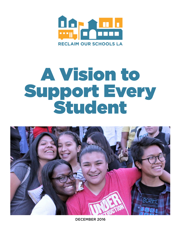

# A Vision to Support Every Student



DECEMBER 2016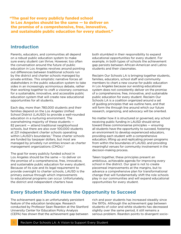"The goal for every publicly funded school in Los Angeles should be the same — to deliver on the promise of a comprehensive, free, innovative, and sustainable public education for every student."

## **Introduction**

Parents, educators, and communities all depend on a robust public education system to make sure every student can thrive. However, too often the conversation around the future of public education in Los Angeles revolves around pointing out differences between traditional schools run by the district and charter schools managed by private entities. This simplistic narrative forces all stakeholders in the public education system to take sides in an increasingly acrimonious debate, rather than working together to craft a visionary consensus for a sustainable, innovative, and accessible public education system that will create new educational opportunities for all students.

Each day, more than 780,000 students and their families depend on the Los Angeles Unified School District (LAUSD) to provide a well-rounded education in a nurturing environment. The overwhelming majority of these students — 82 percent — attend traditional neighborhood schools, but there are also over 100,000 students at 221 independent charter schools operating within LAUSD's boundaries.1 These charter schools are funded by taxpayer dollars, but most are managed by privately run entities known as charter management organizations (CMOs).2

The goal for every publicly funded school in Los Angeles should be the same — to deliver on the promise of a comprehensive, free, innovative, and sustainable public education for every student. Because of its size and its legal requirement to provide oversight to charter schools, LAUSD is the primary avenue through which improvements to educational programs can occur. Unfortunately, the district and independent charters have

both stumbled in their responsibility to expand educational opportunities for every student. For example, in both types of schools the achievement gap persists between African-American and Latino students and their classmates.

Reclaim Our Schools LA is bringing together students, families, educators, school staff and community members to chart a new course for public education in Los Angeles because our existing educational system does not consistently deliver on the promise of a comprehensive, free, innovative, and sustainable public education for every student. Reclaim Our Schools LA is a coalition organized around a set of guiding principles that we outline here, and that will form the through line around which our future research, organizing, and advocacy will be oriented.

No matter how it is structured or governed, any school receiving public funding in LAUSD should strive toward these commonsense principles — ensuring all students have the opportunity to succeed, fostering an environment to develop experienced educators, providing each student with a comprehensive education, lifting up and replicating proven programs from within the boundaries of LAUSD, and providing meaningful venues for community involvement in the decision-making process.

Taken together, these principles present an ambitious, achievable agenda for improving every school in the district. Our goal is not to create piecemeal improvements at the margins, but to advance a comprehensive plan for transformational change that will fundamentally shift the role schools play in our communities and will expand educational opportunities for every student.

## **Every Student Should Have the Opportunity to Succeed**

The achievement gap is an unfortunately persistent feature of the education landscape. Research conducted by Professor Sean Reardon at the Stanford University Center for Education Policy Analysis (CEPA) has shown that the achievement gap between

rich and poor students has increased steadily since the 1970s. Although the achievement gap between students of color and white students has decreased slightly over the same period, it still remains a serious problem. Reardon points to divergent socio-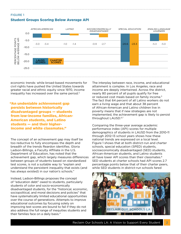### FIGURE 1 Student Groups Scoring Below Average API



economic trends: while broad-based movements for civil rights have pushed the United States towards greater racial and ethnic equity since 1970, income inequality has increased over the same period. $3$ 

"An undeniable achievement gap persists between historically disadvantaged groups — students from low-income families, African-American students, and Latino students — and their higherincome and white classmates."

The concept of an achievement gap may itself be too reductive to fully encompass the depth and breadth of the trends Reardon identifies. Gloria Ladson-Billings, a Faculty Affiliate in the U.S. Department of Education, has noted that the achievement gap, which largely measures differences between groups of students based on standardized test scores, is not a suitable way to "explain and understand the persistent inequality that exists (and has always existed) in our nation's schools."

Instead, Ladson-Billings proposes the concept of "education debt" owed to students, particularly students of color and socio-economically disadvantaged students, for the "historical, economic, sociopolitical, and moral decisions and policies" that have systematically limited educational opportunities over the course of generations. Attempts to improve educational outcomes by focusing solely on improving test scores are bound to fail if they do not also address the full range of inequities students and their families face on a daily basis.4

The interplay between race, income, and educational attainment is complex. In Los Angeles, race and income are deeply intertwined. Across the district, nearly 80 percent of all pupils qualify for free or reduced cost meals based on family income.<sup>5</sup> The fact that 64 percent of all Latino workers do not earn a living wage and that about 38 percent of African-American and Latino children live in poverty means that if new strategies are not implemented, the achievement gap is likely to persist throughout LAUSD.6,7

Comparing the three-year average academic performance index (API) scores for multiple demographics of students in LAUSD from the 2010-11 through 2012-13 school years shows how these national trends are expressed on a local level. Figure 1 shows that at both district-run and charter schools, special education (SPED) students, socioeconomically disadvantaged (SED) students, African-American students, and Latino students all have lower API scores than their classmates.<sup>8</sup> SED students at charter schools had API scores 2.7 percentage points below that of their charter peers, while SED students in district-run schools fared

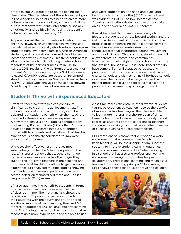better, falling 0.9 percentage points behind their classmates. The persistence of the achievement gap in Los Angeles also points to a need to create more culturally relevant curricula that, as Ladson-Billings puts it, "empowers students intellectually, socially, emotionally, and politically" by "using a student's culture as a vehicle for learning."9,10

All parents want the best possible education for their children. However, an undeniable achievement gap persists between historically disadvantaged groups students from low-income families, African-American students, and Latino students — and their higherincome and white classmates. This trend holds across all schools in the district, including charter schools, regardless of the particular measure in use. In August 2016, results of the California Assessment of Student Performance and Progress (CAASPP) were released. CAASPP results are based on revamped standardized tests known as Smarter Balanced tests (SBAC). A statewide analysis of the scores showed "a wide gap in performance between Asian

and white students on one hand and black and Latino students on the other[.]"<sup>11</sup> This same trend was evident in LAUSD, as low-income African-American and Latino students showed the smallest gains in year-over-year CAASPP scores.<sup>12</sup>

It must be noted that there are many ways to measure a student's progress beyond testing, and the California Department of Education (CDE) is in the process of de-emphasizing the role of test scores in favor of more comprehensive measures of school success that incorporate parent involvement and school climate.13 This promising development will allow parents, educators, and communities to understand their neighborhood schools on a more fine-grained, holistic level. Test-score-based data do have some utility for illustrative purposes, and provide a broad indication of baseline trends in both charter schools and district-run neighborhood schools over time. The picture that emerges shows that neither model can truly be said to have closed the persistent achievement gap amongst students.

## **Students Thrive with Experienced Educators**

Effective teaching strategies can contribute significantly to closing the achievement gap. The nuts-and-bolts of any specific strategy can be debated, but students benefit when their teachers have had extensive in-classroom experience. A new meta-analysis of 30 studies conducted by the Learning Policy Institute (LPI), a Palo Alto-based education policy research institute, quantifies this benefit to students and has shown that teacher experience is positively correlated to improved educational outcomes.14

While teacher effectiveness improves most substantially in a teacher's first few years on the job, LPI's analysis shows that teachers continue to become even more effective the longer they stay on the job. Even teachers in their second and third *decade* of teaching continue to gain valuable experience. LPI analyzed multiple studies showing that students with more experienced teachers scored better on standardized math and English language arts (ELA) exams.

LPI also quantifies the benefit to students in terms of experienced teachers' more effective use of classroom time. The meta-analysis shows that teachers with 12 years of experience provide their students with the equivalent of up to three additional months of math learning time and 6.5 months of additional English language arts learning time. This finding is based on the conclusion that as teachers gain more experience, they are able to use

class time more efficiently. In other words, students taught by experienced teachers receive the benefit of more effective teaching so that they are able to learn more material in a shorter span of time. Benefits for students were not limited solely to test scores, as students of more experienced teachers were also more likely to do better on other measures of success, such as reduced absenteeism.15

LPI's meta-analysis shows that cultivating a work environment that encourages teachers to keep teaching will be the linchpin of any successful strategy to improve student learning outcomes. Teachers become more effective "when working in a school that has a strong professional working environment offering opportunities for peer collaboration, professional learning, and meaningful feedback from a strong principal."16 In essence, LPI's analysis shows that a "supportive and collegial"

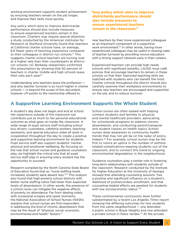working environment supports student achievement by ensuring teachers remain on the job longer, and improve their skills more quickly.

Any policy which aims to improve districtwide performance should also include measures to ensure experienced teachers remain in the classroom. Charters may require special attention: a study conducted by the American Institutes for Research at Stanford University found that teachers at California charter schools have, on average, 6.6 fewer years of teaching experience compared to their colleagues in district-run schools.17 This suggests charter school teachers are turning over at a higher rate than their counterparts at districtrun schools; UC Berkeley researchers confirmed this presumption by showing that 50 percent of teachers in charter middle and high schools leave their jobs each year.<sup>18</sup>

Understanding why teachers leave the profession and why teacher turnover is so much higher in charter schools — is beyond the scope of this document, however LPI points to the mentorship offered to

"Any policy which aims to improve districtwide performance should also include measures to ensure experienced teachers remain in the classroom."

new teachers by their more experienced colleagues as an important component of a supportive work environment.<sup>19,</sup> In other words, having more experienced colleagues may be useful in slowing rates of teacher turnover by providing novice educators with a strong support network early in their careers.

Experienced teachers can provide high needs schools with significant benefits. LAUSD must craft policies that encourage teachers to remain in these schools so that their improved teaching skills are matched with students who can benefit the most. Charter schools throughout the district should also carefully examine their workplace environments to ensure new teachers are encouraged and supported on the job, and to reduce turnover.

## **A Supportive Learning Environment Supports the Whole Student**

A student's day does not begin and end at school. Her experience outside of the classroom can contribute just as much to her personal educational outcome as what goes on inside the classroom. A wide range of pupil service staff including school bus drivers, custodians, cafeteria workers, teaching assistants, and special education aides all work in cooperation throughout the day to create a positive and supportive learning environment for students. Pupil service staff also support students' mental, physical and emotional wellbeing. By focusing on the role that school nurses and guidance counselors play, we highlight the critical role that all pupil service staff play in ensuring every student has the opportunity to succeed.

Research compiled by the North Carolina State Board of Education found that as "nurse staffing levels increased, students were absent less."20 This analysis also found that high-poverty school districts with better nurse staffing ratios had lower than expected levels of absenteeism. In other words, the presence of a school nurse can mitigate the negative effects of poverty on attendance. Far from dealing solely with occasional scrapes and upset stomachs, the National Association of School Nurses (NASN) explains that school nurses are first-responders in addressing the kind of chronic absenteeism that may be the result of "physical, social, economic, environmental and health" factors.<sup>21</sup>

School nurses are often tasked with helping connect students and families to physical and mental healthcare providers, advocating for schoolwide programs to address chronic absenteeism, and conducting parent/caregiver and student classes on health topics. School nurses draw awareness to community health trends that may not yet be on the radar of policy makers.22 For example, school nurses may be the first to notice an uptick in the number of asthmarelated complications keeping students out of the classroom, and to connect this trend to ongoing environmental degradation in the neighborhood.

Guidance counselors play a similar role in fostering long-term relationships with students outside of the classroom. Research conducted by the Institute for Higher Education at the University of Georgia showed that attending counseling sessions "has a positive and significant influence on a student's likelihood of postsecondary enrollment, and that counseling related effects are greatest for students with low socioeconomic status."<sup>23</sup>

These commonsense conclusions were further substantiated by a recent *Los Angeles Times* report showing the differing outcomes for two students from the same neighborhood — one attended a public school in Boyle Heights and one attended a private school in Palos Verdes.<sup>24</sup> At the private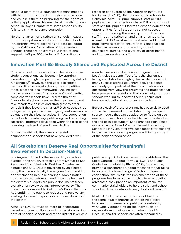school a team of four counselors begins meeting with high school students in their freshman year and counsels them on preparing for the rigors of college applications. Meanwhile, at the district-run school in Boyle Heights that same responsibility falls to a single guidance counselor.

Neither charter nor district-run schools measure up to the pupil service ratios at private schools in California, where according to data collected by the California Association of Independent Schools, there are on average 12 instructional support staff per 100 students.25 According to

research conducted at the American Institutes for Research (AIR), district-run public schools in California have 0.18 pupil support staff per 100 pupils while charter schools have 0.11 pupil support staff per 100 pupils.<sup>26</sup> Efforts to expand educational opportunities for all students cannot succeed without addressing the scarcity of pupil service staff in both district-run and charter schools. As a result, LAUSD must recruit and retain additional pupil services staff to ensure that gains realized in the classroom are bolstered by school counselors, nurses, and a variety of other health and human services staff.

## **Innovation Must Be Broadly Shared and Replicated Across the District**

Charter school proponents claim charters improve student educational achievement by spurring innovation through competition with existing districtrun schools.27 However, if the goal is to spread best practices amongst schools, the competitive ethos is not the ideal framework. Arguing that it is necessary to keep "trade secrets" confidential, some charter schools have used the threat of fines or legal action to ensure their teachers do not take "academic policies and strategies" to other schools if they leave the charter.<sup>28</sup> District schools do not gain a competitive advantage against one another by guarding their best practices. In fact, cooperation is the key to maintaining, publicizing, and replicating successful programs developed within the district and reversing the trend of enrollment decline.

Across the district, there are successful neighborhood schools that have provided a wellrounded, exceptional education to generations of Los Angeles students. Too often, the challenges facing our district are highlighted while the district's many success stories go unheralded. This paints an unduly grim portrait of the district, while also obscuring from view the programs and practices that have proven successful and that show neighborhood schools working to innovate their curricula and improve educational outcomes for students.

Because each of these programs has been developed within the framework of the district, they are open source models that can be adapted to fit the unique needs of other school sites. Profiled in more detail at the end of this document, San Fernando High School in Pacoima and Grand View Boulevard Elementary School in Mar Vista offer two such models for creating innovative curricula and programs within the context of the neighborhood school.

## **All Stakeholders Deserve Real Opportunities for Meaningful Involvement In Decision-Making**

Los Angeles Unified is the second largest school district in the nation, stretching from Sylmar to San Pedro and from Venice to East Los Angeles. As a public entity LAUSD is governed by an elected body that cannot legally bar anyone from speaking or participating in public hearings. Ample notice must be posted before a meeting can be held and the district's budgets are public documents freely available for review by any interested party. The district is also subject to California's Public Records Act, entitling the public to request and receive any existing document, report, or communication from the district.

Although LAUSD must do more to incorporate parent and community voices into decision-making both at specific schools and at the district level, as a

public entity LAUSD is a democratic institution. The Local Control Funding Formula (LCFF) and Local Control Accountability Plan (LCAP), for example, provide a transparent funding mechanism that takes into account a broad range of factors unique to each school site. While the implementation of these programs has faced some criticism from education advocates, they provide an important venue for community stakeholders to hold district and school site officials accountable to neighborhood needs.<sup>29</sup>

Most LAUSD charter schools are not held to the same legal standards as the district itself; local responsiveness and public accountability vary widely depending on the individuals or organizations running each charter school.30 Because charter schools are often managed by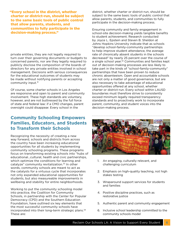"Every school in the district, whether charter or district-run, should be subject to the same basic tools of public control that allow parents, students, and communities to fully participate in the decision-making process."

private entities, they are not legally required to turn over their governing documents or budgets to concerned parents, nor are they legally required to publicly disclose the composition of the boards of directors for any private entities involved in school management. Decisions with serious consequences for the educational outcomes of students may be made without notifying parents or accepting community input.31

Of course, some charter schools in Los Angeles are responsive and open to parent and community involvement. These high standards are voluntary, however, and are not buttressed by the full force of state and federal law: if a CMO changes, parent oversight could disappear. Every school in the

## **Community Schooling Empowers Families, Educators, and Students to Transform their Schools**

Recognizing the necessity of creating a new way forward, schools and districts from across the country have been increasing educational opportunities for all students by implementing community schooling programs. These programs focus on transforming existing schools into "hubs of educational…cultural, health and civic partnerships, which optimize the conditions for learning and catalyze" community revitalization.<sup>33</sup> In other words, community schools are meant to act as the catalysts for a virtuous cycle that incorporates not only expanded educational opportunities for students, but also measureable improvements in wellbeing and stability for entire neighborhoods.

Working to put the community schooling model into practice, the Coalition for Community Schools, in partnership with the Center for Popular Democracy (CPD) and the Southern Education Foundation, have outlined six key elements that the most successful community schools have incorporated into their long-term strategic plans.34 These are:

district, whether charter or district-run, should be subject to the same basic tools of public control that allow parents, students, and communities to fully participate in the decision-making process.

Ensuring community and family engagement in school-site decision-making yields tangible benefits to student achievement. Research conducted by Joyce L. Epstein and Steven B. Sheldon at Johns Hopkins University indicate that as schools "develop school-family-community partnerships to help improve student attendance, the average rate of chronically absent students in the schools decreased" by nearly 25 percent over the course of a single school year.<sup>32</sup> Communities and families kept out of decision-making processes are less likely to take part in the kinds of "school-family-community" partnerships that have been proven to reduce chronic absenteeism. Open and accountable schools are not only a matter of good governance, but are also necessary to take advantage of educational opportunities offered at any school, whether charter or district-run. Every school within LAUSD boundaries must therefore strive to consistently exceed minimum legally required transparency standards and to proactively work to incorporate parent, community, and student voices into the decision-making process.



- 1. An engaging, culturally relevant, and challenging curriculum
- 2. Emphasis on high-quality teaching, not high stakes testing
- 3. Wraparound support services for students and families
- 4. Positive discipline practices, such as restorative justice
- 5. Authentic parent and community engagement
- 6. Inclusive school leadership committed to the community schools model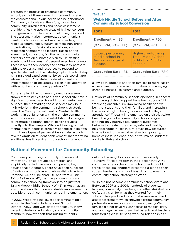Through the process of creating a community school, each of these elements is tailored to reflect the character and unique needs of a neighborhood. Community schools are, therefore, rooted in a community-driven assets and needs assessment that identifies the specific areas of highest concern for a given school site in a particular neighborhood. The assessment also incorporates a community's assets, such as established service providers, religious communities, cultural centers, non-profit organizations, professional associations, and respected neighborhood leaders. Based on this assessment, educators, families, and community partners develop a strategic plan to use existing assets to address areas of deepest need for students. These leaders then identify the community partners with the expertise and resources to respond to specific elements of their strategic plan. The final step is hiring a dedicated community schools coordinator whose job is to "facilitate the development and implementation of the strategic plan in collaboration with school and community partners."<sup>35</sup>

For example, if the community needs assessment shows that foster youth at a given school site have a significant unmet need for additional mental health services, then providing those services may be a high priority in the community school's strategic plan. The County Department of Mental Health, working in conjunction with the on-site community schools coordinator, could establish a pilot program to integrate additional mental health services directly into the campus. While addressing unmet mental health needs is certainly beneficial in its own right, these types of partnerships can also work to reverse drags on student achievement. Incorporating additional health services into a school site would

#### TABLE 1

#### Webb Middle School Before and After Community School Conversion

| 2009                       | 2015                         |
|----------------------------|------------------------------|
| <b>Enrollment</b> $-485$   | <b>Enrollment</b> $-750$     |
| (97% FRM; 50% ELL)         | (97% FRM; 47% ELL)           |
| Lowest performing          | <b>Highest performing</b>    |
| middle school in           | <b>Title 1 Middle School</b> |
| Austin; on verge of        | of 14 other Middle           |
| closure.                   | Schools                      |
| <b>Graduation Rate 48%</b> | <b>Graduation Rate 78%</b>   |

allow both students and their families to more easily access care, or to receive information on managing chronic illnesses like asthma and diabetes.36

Networks of community schools operating in concert with strong district support have been successful in "reducing absenteeism, improving health and wellbeing of students and their families, and increasing the rates of high school graduation and college attendance."37 Ideally implemented on a district-wide basis, the goal of a community schools program is to not only improve educational outcomes, but also to create more stable, safe, and healthy neighborhoods.38 This in turn drives new resources to ameliorating the negative effects of poverty, homelessness, violence, and/or trauma on students' ability to thrive at school.

## **National Movement for Community Schooling**

Community schooling is not only a theoretical framework, it also provides a practical and empirically tested roadmap to improving key educational outcomes. There have been hundreds of individual schools — and whole districts — from Portland, OR to Cincinnati, OH and from Austin, TX to Baltimore, MD, that have chosen to use a community schooling framework to do just that. Taking Webb Middle School (WMS) in Austin as an example shows that a demonstrable improvement is possible through community school implementation.

In 2007, Webb was the lowest performing middle school in the Austin Independent School District (AISD) and was slated for closure. Many parents, students, educators, and community members, however, felt that busing students

outside the neighborhood was unnecessarily "punitive."39 Holding firm in their belief that WMS could become a school in which students could thrive, these stakeholders presented a plan to their superintendent and school board to implement a community school strategy at Webb.

WMS did not become a community school overnight. Between 2007 and 2009, hundreds of students, families, community members, and other stakeholders crafted a vision for what they wanted from their school. They produced a comprehensive needs and assets assessment which showed existing community partnerships were poorly coordinated, many Webb families did not have regular access to medical care, and language barriers prevented parents and teachers form forging close, trusting working relationships.40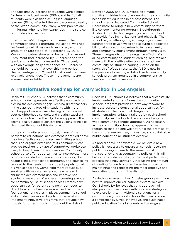The fact that 97 percent of students were eligible for free or reduced meals (FRM), and half of all students were classified as English-language learners (ELL), reflected the socio-economic reality of the Webb community. Many Webb parents are immigrants who hold low-wage jobs in the service or construction sectors.

In 2009, as Webb began to implement the community schools program, the school was not performing well: it was under-enrolled, and the graduation rate stood at 48 percent. By 2015, Webb's indicators showed a dramatic turnaround. Enrollment had increased by 55 percent and the graduation rate had increased to 78 percent, with an average daily attendance of 95 percent. It should be noted that over this time period the percentage of FRM and ELL students remained relatively unchanged. These improvements are summarized in Table 1.

Between 2009 and 2015, Webb also made significant strides toward addressing the community needs identified in the initial assessment. The school hired a dedicated Community School Coordinator to bring in new community partners like college mentoring program Breakthrough Austin. A mobile clinic regularly visits the school to provide free immunizations and physicals. The school began offering English-language classes for parents three days a week and secured a dedicated bilingual education organizer to increase family and community engagement through home visits. These changes disrupt the negative effects of an ailing community on student learning, and replace them with the positive effects of a strengthening community on student learning. Based on the strength of Webb's results, the AISD is now in the process of creating a district-wide community schools program grounded in a comprehensive needs and assets assessment.

## **A Transformative Roadmap for Every School in Los Angeles**

Reclaim Our Schools LA believes that a community schools model represents an effective approach to closing the achievement gap, keeping great teachers in the classroom, providing students with more pupil support services, maintaining public control over neighborhood schools, and creating excellent public schools across the city. It is an approach that seems ideally suited to achieve the guiding principles described throughout this document.

In the community schools model, many of the barriers to educational achievement identified above may be effectively addressed. An inviting school that is an organic extension of its community can provide teachers the type of supportive workplace likely to keep them in the classroom. Community schools also offer opportunities to incorporate more pupil service staff and wraparound services, like health clinics, after school programs, and counseling tailored to the needs of the student population at a given school site. Combining more robust pupil services with more experienced teachers will shrink the achievement gap and improve nonacademic measures of success. Increasing avenues for community use of school spaces creates new opportunities for parents and neighborhoods to direct how school resources are used. With these foundational principles in place, community school stakeholders are more likely to conceive of and implement innovative programs that provide new models for other schools throughout the district.

Reclaim Our Schools LA believes that a successfully implemented and transformative community schools program provides a new way forward to increase access to educational opportunities for all students. The individual design and implementation, uniquely tailored by each school community, will be key to the success of a systemwide community schools approach. As necessary as the community schooling approach is, we recognize that it alone will not fulfill the promise of the comprehensive, free, innovative, and sustainable public education all students deserve.

As noted above, for example, we believe a new policy is necessary to ensure all schools receiving public funding adhere to the same robust transparency and accountability policies; this will help ensure a democratic, public, and participatory process that truly serves all. Increasing the amount of funding for each pupil will also be critical to maintaining and replicating the most effective and innovative programs in the district.

As decision-makers in Los Angeles grapple with how best to improve our educational system, Reclaim Our Schools LA believes that this approach will also provide stakeholders with concrete strategies to explore long-term, visionary solutions for a district of neighborhood schools that can provide a comprehensive, free, innovative, and sustainable public education for all students in Los Angeles.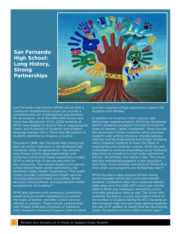## **San Fernando High School: Long History, Strong Partnerships**



San Fernando High School (SFHS) proves that a traditional neighborhood school can provide a comprehensive set of educational opportunities for all students. As of the 2014-2015 school year, more than 88 percent of the 2,300 students at SFHS were eligible to receive free or reduced-price meals, and 15 percent of students were Englishlanguage learners (ELL). More than 96 percent of students identified as Hispanic or Latino.

Founded in 1896, San Fernando High School has been an anchor institution in the Northeast San Fernando Valley for generations. The school's long history and its deep relationships with numerous community-based organizations make SFHS a critical hub of service provision for the community. The campus boasts a full service school-based health center operated by the Northeast Valley Health Corporation.<sup>41</sup> The health center provides comprehensive health services including behavioral health counseling, dental services, immunizations, and reproductive health screening for all students.<sup>42</sup>

SFHS also partners with numerous communitybased and non-profit organizations to extend the types of before- and after-school services offered on campus. These include a partnership with Project Grad and University of California Early Academic Outreach Program, both of which

provide ongoing college application support for students and families.

In addition to housing a math, science, and technology magnet program, SFHS has developed distinct academic programs focused on students' areas of interest. Called "academies," these include the Humanitas Futures Academy, which provides students with writing-intensive, interdisciplinary training, and the Engineering and Design Academy, which prepares students to enter the fields of engineering and computer science. SFHS has also committed to continue expanding Career Technical Education by investing in a full-scale commercial kitchen, 3D printing, and robotics labs. The school has also maintained programs in arts education, auto shop, wood working, and physical fitness at a time when such programs are increasingly rare.<sup>43</sup>

SFHS provides a clear example of how strong bonds between school and community benefit students. Graduation rates have outpaced districtwide rates since the 2010-2011 school year, and by 2014-15 SFHS was meeting or exceeding county and state graduation rates as well. The school also outpaces the district, county, and state in terms of the number of students taking the ACT. Students at San Fernando High have also been getting healthier: the rate of 9<sup>th</sup> graders at Health Risk has declined by nearly 42 percent since the 2010-11 school year.<sup>44</sup>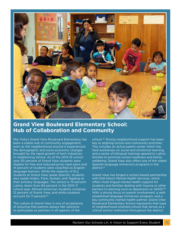

# **Grand View Boulevard Elementary School: Hub of Collaboration and Community**

Mar Vista's Grand View Boulevard Elementary has been a stable hub of community engagement, even as the neighborhood around it experienced the demographic and socio-economic changes brought by the rapid growth of tech industries in neighboring Venice. As of the 2014-15 school year, 65 percent of Grand View students were eligible for free and reduced-price meal plans and 41 percent of students were classified as Englishlanguage learners. While the majority of ELL students at Grand View speak Spanish, students also speak Arabic, Farsi, Korean, and Tagalog as their primary languages. The school is 74 percent Latino, down from 84 percent in the 2010-11 school year. African-American students compose 12 percent of Grand View, and white students account for 11 percent.45

The culture at Grand View is one of acceptance, of ensuring that parents always feel welcome to participate as partners in all aspects of the

school.46 Strong neighborhood support has been key to aligning school and community priorities. This includes an active parent center which has held workshops on social and emotional learning, and a series of bilingual trainings geared to Latino families to promote school readiness and family wellbeing. Grand View also offers one of the oldest Spanish-language immersion programs in the district.47

Grand View has forged a school-based partnership with Didi Hirsch Mental Health Services, which offers multi-lingual mental health support for students and families dealing with trauma or other barriers to learning such as depression or ADHD.<sup>48</sup> With a strong focus on parent involvement, a wellestablished language immersion program, and a key community mental health partner, Grand View Boulevard Elementary School represents that type of neighborhood-oriented school that serves as a critical anchor institution throughout the district.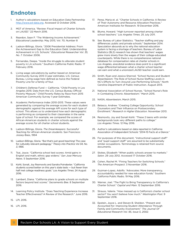# **Endnotes**

- 1. Author's calculations based on Education Data Partnership http://www.ed-data.org. Accessed 12 October 2016.
- 2. MGT of America. "Review: Fiscal Impact of Charter Schools on LAUSD." 22 March 2016.
- 3. Reardon, Sean F. "The Widening Income Achievement." *Educational Leadership*. May 2013, Vol. 70, Number 8
- 4. Ladson-Billings, Gloria. "2006 Presidential Address: From the Achievement Gap to the Education Debt: Understanding Achievement in U.S. Schools." *Educational Researcher Vol. 35, No. 7.* October 2006.
- 5. Fernandes, Deepa. "Inside the struggle to alleviate student poverty in LA schools." Southern California Public Radio. 17 February 2016.
- 6. Living wage calculations by author based on American Community Survey 2013 3-year estimates, U.S. Census Bureau. Living wage here defined as twice the Federal Poverty Line for a family of four.
- 7. Children's Defense Fund California. "Child Poverty in Los Angeles 2015: Data from the U.S. Census Bureau Official Poverty Measure." Child Poverty Rates by Race from 2015 American Community Survey 1-year Estimates.
- 8. Academic Performance Index 2010-2013. These values were generated by comparing the average scores for each student demographic against the average API score for each type of school. This allows us to understand how each demographic is performing as compared to their classmates in the same type of school. For example, we compared the scores of African-American students in charter schools against the average scores for all charter school students.
- 9. Ladson-Billings, Gloria. *The Dreamkeepers: Successful Teaching for African-American students.* San Francisco: Jossey-Bass, 1994
- 10. Ladson-Billings, Gloria. "But that's just good teaching! The case for culturally relevant pedagogy." *Theory into Practice Vol 34, No. 3, 1995.*
- 11. Tsai, Joyce. "California school test scores: Amid gains in English and math, ethnic gap widens." *San Jose Mercury News*. 5 September 2016.
- 12. Kohli, Sonali, Joy Resmovits and Sandra Poindexter. "California students scored better on this year's state tests — but fewer than half met college readiness goals." *Los Angeles Times*. 24 August 2016.
- 13. Lambert, Diana. "California plans to grade schools on multiple factors beyond test scores." *Sacramento Bee*. 8 September 2016.
- 14. Learning Policy Institute. "Does Teaching Experience Increase Teacher Effectiveness? A Review of the Research." June 2016.
- 15. LPI, 2016.
- 16. LPI, 2016.
- 17. Perez, Maria et. al. "Charter Schools in California: A Review of Their Autonomy and Resource Allocation Practices." American Institutes for Research. 19 December 2016.
- 18. Blume, Howard. "High turnover reported among charter school teachers." *Los Angeles Times*. 25 July 2011.
- 19. See: Bureau of Labor Statistics. "Teacher staffing and pay differences: public and private schools." September 2014. Speculation abounds as to why the national education system is facing a shortage of teachers. Bureau of Labor Statistics (BLS) research has shown that teachers' wages grew more slowly than the wages of their college-educated counterparts. While there is no comprehensive national database for compensation rates at charter schools in Los Angeles, anecdotal evidence does point to a significant wage differential between what a charter school teacher can earn and what a unionized LAUSD teacher could earn.
- 20. Smith, Ryan and Jessica Sherrod. "School Nurses and Student Absenteeism: The Role of School Nurse Staffing Levels in NC's Efforts to Turn Around Low-Performing Schools." North Carolina Department of Public Instruction. August 2013.
- 21. National Association of School Nurses. "School Nurse's Role in Combating Chronic Absenteeism." March 2015.
- 22. NASN, *Absenteeism*, March 2015.
- 23. Belasco, Andrew. "Creating College Opportunity: School Counselors and Their Influence on Postsecondary Enrollment." *Research in Higher Education*. November 2013.
- 24. Resmovits, Joy and Sonali Kohli. "These 2 teens with similar backgrounds took very different paths to college." *Los Angeles Times.* 12 May 2016.
- 25. Author's calculations based on data reported in California Association of Independent Schools "2014-15 Facts at a Glance."
- 26. For purposes of this document, "instructional support staff" and "pupil support staff" are assumed to be substantially similar occupations. Terminology is retained from source documents.
- 27. Stokes, Elizabeth "When public schools answer to markets." *Salon.* 29 July 2012. Accessed 17 October 2016.
- 28. Cohen, Rachel M. "Fining Teachers for Switching Schools." *The American Prospect*. 3 November 2016.
- 29. Guzman-Lopez, Adolfo. "Advocates: More transparency, accountability needed for new education funds." Southern California Public Radio. 19 May 2016.
- 30. Warner, Joel. "The Fight to Bring Transparency to California's Charter School." *Capital and Main*. 12 September 2016.
- 31. Strauss, Valerie. "How messed up is California's charter school sector? You won't believe how much." *Washington Post*. 9 September 2016.
- 32. Epstein, Joyce L. and Steven B. Sheldon. "Present and Accounted for: Improving Student Attendance Through Family and Community Involvement." *The Journal Of Educational Research Vol. 95, Issue 5, 2002*.